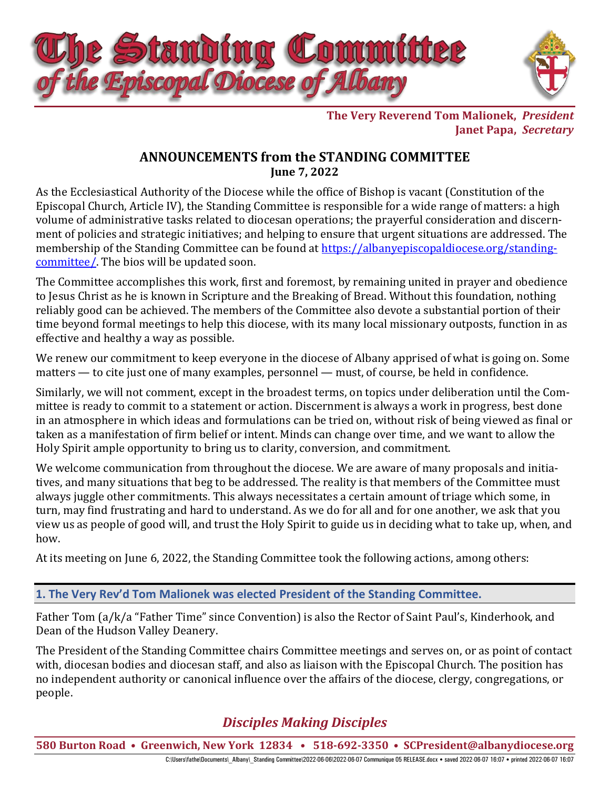

**The Very Reverend Tom Malionek,** *President* **Janet Papa,** *Secretary*

# **ANNOUNCEMENTS from the STANDING COMMITTEE June 7, 2022**

As the Ecclesiastical Authority of the Diocese while the office of Bishop is vacant (Constitution of the Episcopal Church, Article IV), the Standing Committee is responsible for a wide range of matters: a high volume of administrative tasks related to diocesan operations; the prayerful consideration and discernment of policies and strategic initiatives; and helping to ensure that urgent situations are addressed. The membership of the Standing Committee can be found at [https://albanyepiscopaldiocese.org/standing](https://albanyepiscopaldiocese.org/standing-committee/)[committee/.](https://albanyepiscopaldiocese.org/standing-committee/) The bios will be updated soon.

The Committee accomplishes this work, first and foremost, by remaining united in prayer and obedience to Jesus Christ as he is known in Scripture and the Breaking of Bread. Without this foundation, nothing reliably good can be achieved. The members of the Committee also devote a substantial portion of their time beyond formal meetings to help this diocese, with its many local missionary outposts, function in as effective and healthy a way as possible.

We renew our commitment to keep everyone in the diocese of Albany apprised of what is going on. Some matters — to cite just one of many examples, personnel — must, of course, be held in confidence.

Similarly, we will not comment, except in the broadest terms, on topics under deliberation until the Committee is ready to commit to a statement or action. Discernment is always a work in progress, best done in an atmosphere in which ideas and formulations can be tried on, without risk of being viewed as final or taken as a manifestation of firm belief or intent. Minds can change over time, and we want to allow the Holy Spirit ample opportunity to bring us to clarity, conversion, and commitment.

We welcome communication from throughout the diocese. We are aware of many proposals and initiatives, and many situations that beg to be addressed. The reality is that members of the Committee must always juggle other commitments. This always necessitates a certain amount of triage which some, in turn, may find frustrating and hard to understand. As we do for all and for one another, we ask that you view us as people of good will, and trust the Holy Spirit to guide us in deciding what to take up, when, and how.

At its meeting on June 6, 2022, the Standing Committee took the following actions, among others:

## **1. The Very Rev'd Tom Malionek was elected President of the Standing Committee.**

Father Tom (a/k/a "Father Time" since Convention) is also the Rector of Saint Paul's, Kinderhook, and Dean of the Hudson Valley Deanery.

The President of the Standing Committee chairs Committee meetings and serves on, or as point of contact with, diocesan bodies and diocesan staff, and also as liaison with the Episcopal Church. The position has no independent authority or canonical influence over the affairs of the diocese, clergy, congregations, or people.

# *Disciples Making Disciples*

**580 Burton Road • Greenwich, New York 12834 • 518-692-3350 • [SCPresident@albanydiocese.org](mailto:SCPresident@albanydiocese.org)**